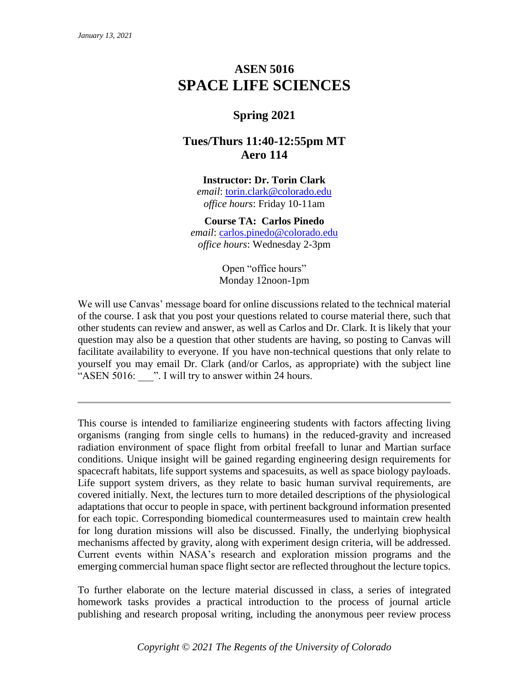# **ASEN 5016 SPACE LIFE SCIENCES**

# **Spring 2021**

# **Tues/Thurs 11:40-12:55pm MT Aero 114**

# **Instructor: Dr. Torin Clark**

*email*: [torin.clark@colorado.edu](mailto:torin.clark@colorado.edu) *office hours*: Friday 10-11am

# **Course TA: Carlos Pinedo**

*email*: [carlos.pinedo@colorado.edu](mailto:carlos.pinedo@colorado.edu) *office hours*: Wednesday 2-3pm

> Open "office hours" Monday 12noon-1pm

We will use Canvas' message board for online discussions related to the technical material of the course. I ask that you post your questions related to course material there, such that other students can review and answer, as well as Carlos and Dr. Clark. It is likely that your question may also be a question that other students are having, so posting to Canvas will facilitate availability to everyone. If you have non-technical questions that only relate to yourself you may email Dr. Clark (and/or Carlos, as appropriate) with the subject line "ASEN 5016: Will try to answer within 24 hours.

This course is intended to familiarize engineering students with factors affecting living organisms (ranging from single cells to humans) in the reduced-gravity and increased radiation environment of space flight from orbital freefall to lunar and Martian surface conditions. Unique insight will be gained regarding engineering design requirements for spacecraft habitats, life support systems and spacesuits, as well as space biology payloads. Life support system drivers, as they relate to basic human survival requirements, are covered initially. Next, the lectures turn to more detailed descriptions of the physiological adaptations that occur to people in space, with pertinent background information presented for each topic. Corresponding biomedical countermeasures used to maintain crew health for long duration missions will also be discussed. Finally, the underlying biophysical mechanisms affected by gravity, along with experiment design criteria, will be addressed. Current events within NASA's research and exploration mission programs and the emerging commercial human space flight sector are reflected throughout the lecture topics.

To further elaborate on the lecture material discussed in class, a series of integrated homework tasks provides a practical introduction to the process of journal article publishing and research proposal writing, including the anonymous peer review process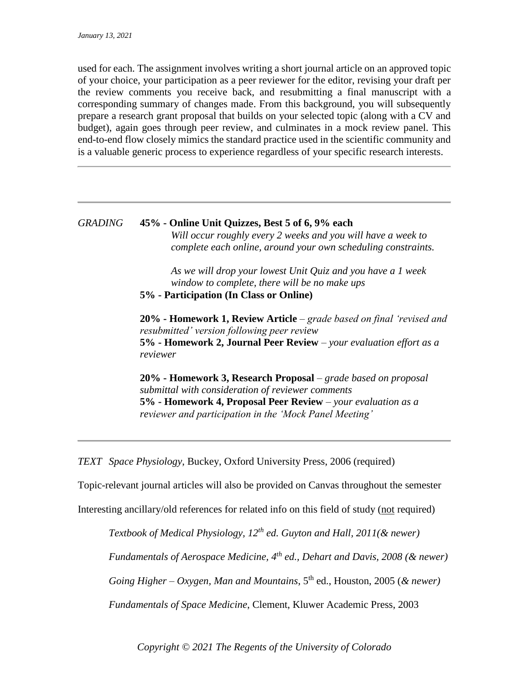used for each. The assignment involves writing a short journal article on an approved topic of your choice, your participation as a peer reviewer for the editor, revising your draft per the review comments you receive back, and resubmitting a final manuscript with a corresponding summary of changes made. From this background, you will subsequently prepare a research grant proposal that builds on your selected topic (along with a CV and budget), again goes through peer review, and culminates in a mock review panel. This end-to-end flow closely mimics the standard practice used in the scientific community and is a valuable generic process to experience regardless of your specific research interests.

# *GRADING* **45% - Online Unit Quizzes, Best 5 of 6, 9% each** *Will occur roughly every 2 weeks and you will have a week to complete each online, around your own scheduling constraints.*

*As we will drop your lowest Unit Quiz and you have a 1 week window to complete, there will be no make ups* **5% - Participation (In Class or Online)**

**20% - Homework 1, Review Article** – *grade based on final 'revised and resubmitted' version following peer review* **5% - Homework 2, Journal Peer Review** *– your evaluation effort as a reviewer*

**20% - Homework 3, Research Proposal** – *grade based on proposal submittal with consideration of reviewer comments* **5% - Homework 4, Proposal Peer Review** *– your evaluation as a reviewer and participation in the 'Mock Panel Meeting'*

*TEXT Space Physiology*, Buckey, Oxford University Press, 2006 (required)

Topic-relevant journal articles will also be provided on Canvas throughout the semester

Interesting ancillary/old references for related info on this field of study (not required)

*Textbook of Medical Physiology, 12th ed. Guyton and Hall, 2011(& newer)*

*Fundamentals of Aerospace Medicine, 4th ed., Dehart and Davis, 2008 (& newer)*

*Going Higher – Oxygen, Man and Mountains*, 5th ed., Houston, 2005 (*& newer)*

*Fundamentals of Space Medicine*, Clement, Kluwer Academic Press, 2003

*Copyright © 2021 The Regents of the University of Colorado*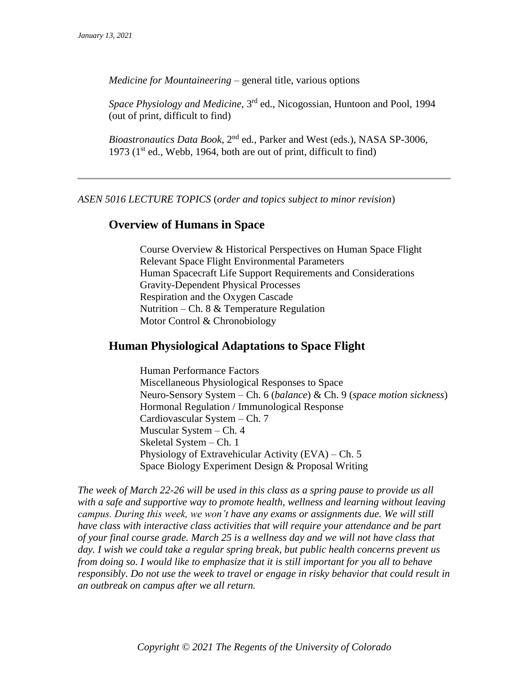*Medicine for Mountaineering* – general title, various options

*Space Physiology and Medicine*, 3rd ed., Nicogossian, Huntoon and Pool, 1994 (out of print, difficult to find)

*Bioastronautics Data Book*, 2nd ed., Parker and West (eds.), NASA SP-3006, 1973 ( $1<sup>st</sup>$  ed., Webb, 1964, both are out of print, difficult to find)

*ASEN 5016 LECTURE TOPICS* (*order and topics subject to minor revision*)

### **Overview of Humans in Space**

Course Overview & Historical Perspectives on Human Space Flight Relevant Space Flight Environmental Parameters Human Spacecraft Life Support Requirements and Considerations Gravity-Dependent Physical Processes Respiration and the Oxygen Cascade Nutrition – Ch. 8 & Temperature Regulation Motor Control & Chronobiology

# **Human Physiological Adaptations to Space Flight**

Human Performance Factors Miscellaneous Physiological Responses to Space Neuro-Sensory System – Ch. 6 (*balance*) & Ch. 9 (*space motion sickness*) Hormonal Regulation / Immunological Response Cardiovascular System – Ch. 7 Muscular System – Ch. 4 Skeletal System – Ch. 1 Physiology of Extravehicular Activity (EVA) – Ch. 5 Space Biology Experiment Design & Proposal Writing

*The week of March 22-26 will be used in this class as a spring pause to provide us all with a safe and supportive way to promote health, wellness and learning without leaving campus. During this week, we won't have any exams or assignments due. We will still have class with interactive class activities that will require your attendance and be part of your final course grade. March 25 is a wellness day and we will not have class that day. I wish we could take a regular spring break, but public health concerns prevent us from doing so. I would like to emphasize that it is still important for you all to behave responsibly. Do not use the week to travel or engage in risky behavior that could result in an outbreak on campus after we all return.*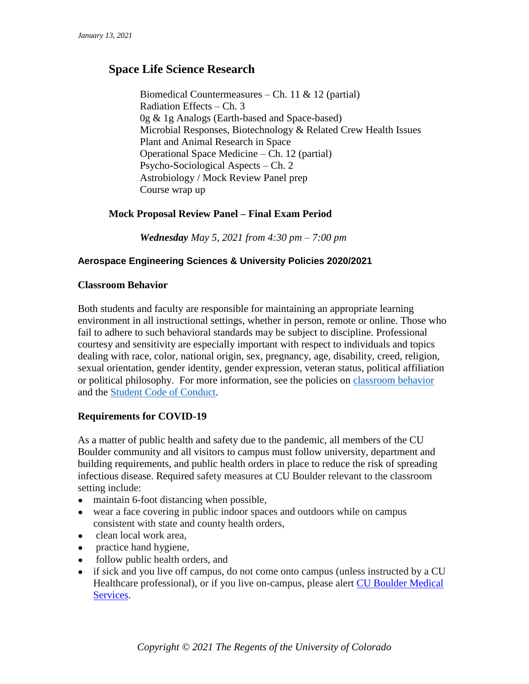# **Space Life Science Research**

Biomedical Countermeasures – Ch. 11 & 12 (partial) Radiation Effects – Ch. 3 0g & 1g Analogs (Earth-based and Space-based) Microbial Responses, Biotechnology & Related Crew Health Issues Plant and Animal Research in Space Operational Space Medicine – Ch. 12 (partial) Psycho-Sociological Aspects – Ch. 2 Astrobiology / Mock Review Panel prep Course wrap up

# **Mock Proposal Review Panel – Final Exam Period**

*Wednesday May 5, 2021 from 4:30 pm – 7:00 pm*

# **Aerospace Engineering Sciences & University Policies 2020/2021**

### **Classroom Behavior**

Both students and faculty are responsible for maintaining an appropriate learning environment in all instructional settings, whether in person, remote or online. Those who fail to adhere to such behavioral standards may be subject to discipline. Professional courtesy and sensitivity are especially important with respect to individuals and topics dealing with race, color, national origin, sex, pregnancy, age, disability, creed, religion, sexual orientation, gender identity, gender expression, veteran status, political affiliation or political philosophy. For more information, see the policies on [classroom behavior](http://www.colorado.edu/policies/student-classroom-and-course-related-behavior) and the [Student Code of Conduct.](https://www.colorado.edu/sccr/sites/default/files/attached-files/2020-2021_student_code_of_conduct_0.pdf)

### **Requirements for COVID-19**

As a matter of public health and safety due to the pandemic, all members of the CU Boulder community and all visitors to campus must follow university, department and building requirements, and public health orders in place to reduce the risk of spreading infectious disease. Required safety measures at CU Boulder relevant to the classroom setting include:

- maintain 6-foot distancing when possible,
- wear a face covering in public indoor spaces and outdoors while on campus consistent with state and county health orders,
- clean local work area,
- practice hand hygiene,
- follow public health orders, and
- if sick and you live off campus, do not come onto campus (unless instructed by a CU Healthcare professional), or if you live on-campus, please alert [CU Boulder Medical](https://www.colorado.edu/healthcenter/coronavirus-updates/symptoms-and-what-do-if-you-feel-sick)  [Services.](https://www.colorado.edu/healthcenter/coronavirus-updates/symptoms-and-what-do-if-you-feel-sick)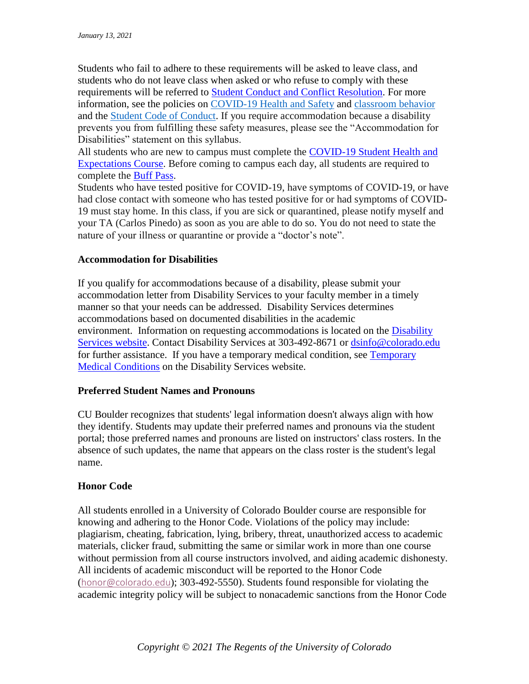Students who fail to adhere to these requirements will be asked to leave class, and students who do not leave class when asked or who refuse to comply with these requirements will be referred to [Student Conduct and Conflict Resolution.](https://www.colorado.edu/sccr/) For more information, see the policies on [COVID-19 Health and Safety](https://www.colorado.edu/policies/covid-19-health-and-safety-policy) and [classroom behavior](http://www.colorado.edu/policies/student-classroom-and-course-related-behavior) and the [Student Code of Conduct.](http://www.colorado.edu/osccr/) If you require accommodation because a disability prevents you from fulfilling these safety measures, please see the "Accommodation for Disabilities" statement on this syllabus.

All students who are new to campus must complete the [COVID-19 Student Health and](https://www.colorado.edu/protect-our-herd/how#anchor1)  [Expectations Course.](https://www.colorado.edu/protect-our-herd/how#anchor1) Before coming to campus each day, all students are required to complete the [Buff Pass.](https://pass.colorado.edu/login)

Students who have tested positive for COVID-19, have symptoms of COVID-19, or have had close contact with someone who has tested positive for or had symptoms of COVID-19 must stay home. In this class, if you are sick or quarantined, please notify myself and your TA (Carlos Pinedo) as soon as you are able to do so. You do not need to state the nature of your illness or quarantine or provide a "doctor's note".

# **Accommodation for Disabilities**

If you qualify for accommodations because of a disability, please submit your accommodation letter from Disability Services to your faculty member in a timely manner so that your needs can be addressed. Disability Services determines accommodations based on documented disabilities in the academic environment. Information on requesting accommodations is located on the **Disability** [Services website.](https://www.colorado.edu/disabilityservices/) Contact Disability Services at 303-492-8671 or [dsinfo@colorado.edu](mailto:dsinfo@colorado.edu) for further assistance. If you have a temporary medical condition, see [Temporary](http://www.colorado.edu/disabilityservices/students/temporary-medical-conditions)  [Medical Conditions](http://www.colorado.edu/disabilityservices/students/temporary-medical-conditions) on the Disability Services website.

### **Preferred Student Names and Pronouns**

CU Boulder recognizes that students' legal information doesn't always align with how they identify. Students may update their preferred names and pronouns via the student portal; those preferred names and pronouns are listed on instructors' class rosters. In the absence of such updates, the name that appears on the class roster is the student's legal name.

### **Honor Code**

All students enrolled in a University of Colorado Boulder course are responsible for knowing and adhering to the Honor Code. Violations of the policy may include: plagiarism, cheating, fabrication, lying, bribery, threat, unauthorized access to academic materials, clicker fraud, submitting the same or similar work in more than one course without permission from all course instructors involved, and aiding academic dishonesty. All incidents of academic misconduct will be reported to the Honor Code ([honor@colorado.edu](mailto:honor@colorado.edu)); 303-492-5550). Students found responsible for violating the academic integrity policy will be subject to nonacademic sanctions from the Honor Code